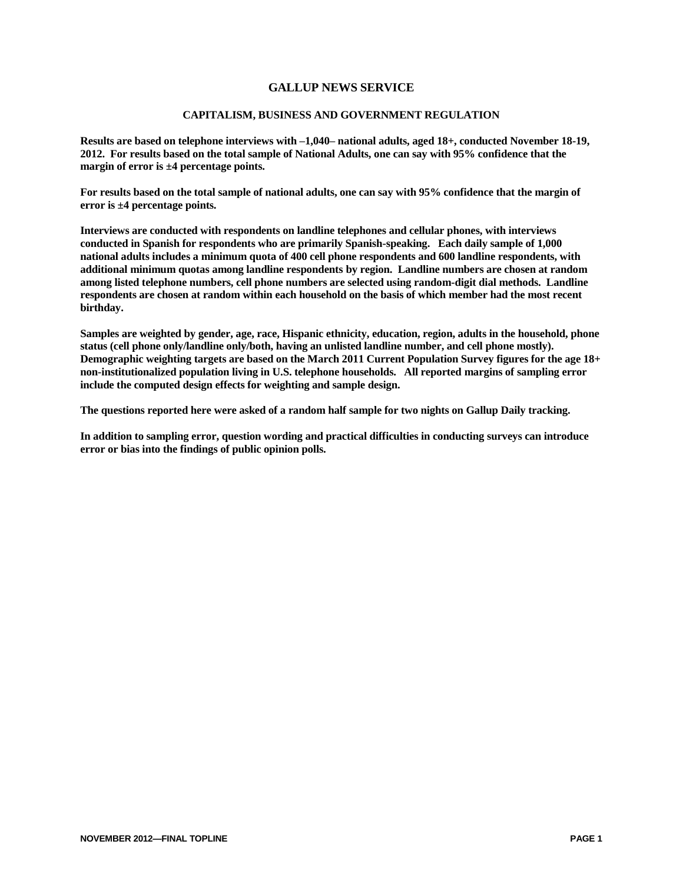### **GALLUP NEWS SERVICE**

#### **CAPITALISM, BUSINESS AND GOVERNMENT REGULATION**

**Results are based on telephone interviews with –1,040– national adults, aged 18+, conducted November 18-19, 2012. For results based on the total sample of National Adults, one can say with 95% confidence that the margin of error is ±4 percentage points.**

**For results based on the total sample of national adults, one can say with 95% confidence that the margin of error is ±4 percentage points.**

**Interviews are conducted with respondents on landline telephones and cellular phones, with interviews conducted in Spanish for respondents who are primarily Spanish-speaking. Each daily sample of 1,000 national adults includes a minimum quota of 400 cell phone respondents and 600 landline respondents, with additional minimum quotas among landline respondents by region. Landline numbers are chosen at random among listed telephone numbers, cell phone numbers are selected using random-digit dial methods. Landline respondents are chosen at random within each household on the basis of which member had the most recent birthday.** 

**Samples are weighted by gender, age, race, Hispanic ethnicity, education, region, adults in the household, phone status (cell phone only/landline only/both, having an unlisted landline number, and cell phone mostly). Demographic weighting targets are based on the March 2011 Current Population Survey figures for the age 18+ non-institutionalized population living in U.S. telephone households. All reported margins of sampling error include the computed design effects for weighting and sample design.** 

**The questions reported here were asked of a random half sample for two nights on Gallup Daily tracking.** 

**In addition to sampling error, question wording and practical difficulties in conducting surveys can introduce error or bias into the findings of public opinion polls.**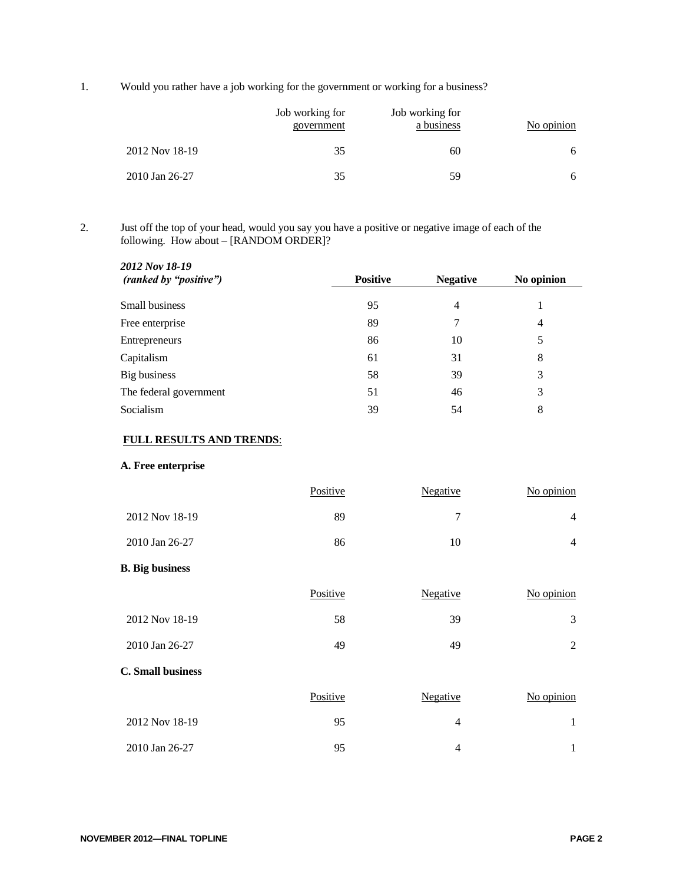1. Would you rather have a job working for the government or working for a business?

|                | Job working for<br>government | Job working for<br>a business | No opinion |
|----------------|-------------------------------|-------------------------------|------------|
| 2012 Nov 18-19 | 35                            | 60                            | 6          |
| 2010 Jan 26-27 | 35                            | 59                            | 6          |

2. Just off the top of your head, would you say you have a positive or negative image of each of the following. How about – [RANDOM ORDER]?

| 2012 Nov 18-19<br>(ranked by "positive") | <b>Positive</b> | <b>Negative</b> | No opinion     |
|------------------------------------------|-----------------|-----------------|----------------|
| Small business                           | 95              | 4               |                |
| Free enterprise                          | 89              | 7               | $\overline{4}$ |
| Entrepreneurs                            | 86              | 10              | 5              |
| Capitalism                               | 61              | 31              | 8              |
| Big business                             | 58              | 39              | 3              |
| The federal government                   | 51              | 46              | 3              |
| Socialism                                | 39              | 54              | 8              |

## **FULL RESULTS AND TRENDS**:

### **A. Free enterprise**

|                | Positive | Negative | $No$ opinion |
|----------------|----------|----------|--------------|
| 2012 Nov 18-19 | 89       |          | Δ            |
| 2010 Jan 26-27 | 86       | 10       | 4            |

## **B. Big business**

|                          | Positive | <b>Negative</b> | No opinion |
|--------------------------|----------|-----------------|------------|
| 2012 Nov 18-19           | 58       | 39              | 3          |
| 2010 Jan 26-27           | 49       | 49              | 2          |
| <b>C.</b> Small business |          |                 |            |
|                          | Positive | <b>Negative</b> | No opinion |
| 2012 Nov 18-19           | 95       | $\overline{4}$  | 1          |
| 2010 Jan 26-27           | 95       | $\overline{4}$  |            |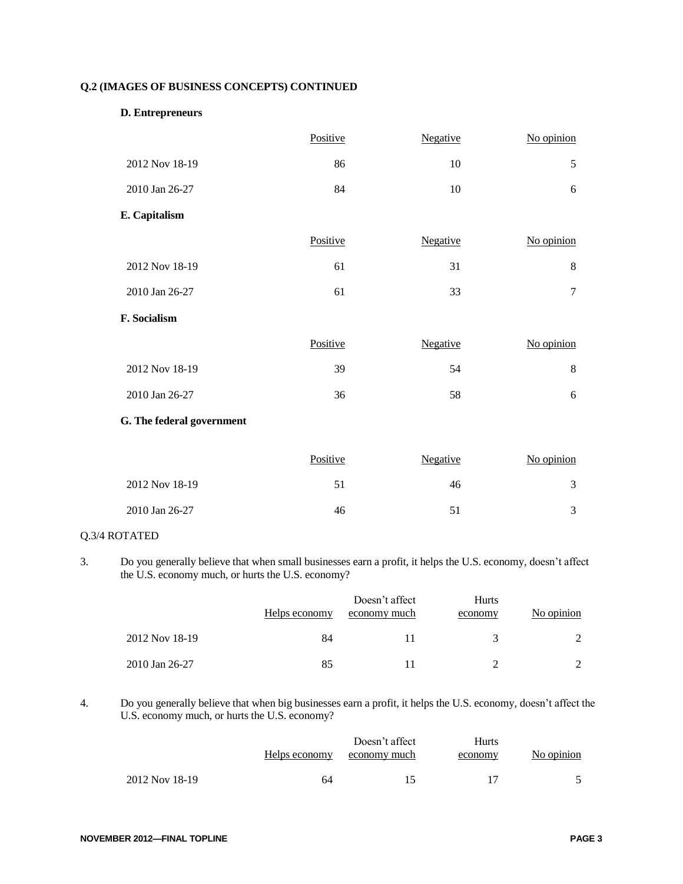## **Q.2 (IMAGES OF BUSINESS CONCEPTS) CONTINUED**

### **D. Entrepreneurs**

|                           | Positive | Negative | No opinion     |
|---------------------------|----------|----------|----------------|
| 2012 Nov 18-19            | 86       | 10       | 5              |
| 2010 Jan 26-27            | 84       | 10       | 6              |
| E. Capitalism             |          |          |                |
|                           | Positive | Negative | No opinion     |
| 2012 Nov 18-19            | 61       | 31       | 8              |
| 2010 Jan 26-27            | 61       | 33       | $\overline{7}$ |
| F. Socialism              |          |          |                |
|                           | Positive | Negative | No opinion     |
| 2012 Nov 18-19            | 39       | 54       | 8              |
| 2010 Jan 26-27            | 36       | 58       | 6              |
| G. The federal government |          |          |                |
|                           | Positive | Negative | No opinion     |

| 2012 Nov 18-19 |    | 46 |  |
|----------------|----|----|--|
| 2010 Jan 26-27 | 46 |    |  |

## Q.3/4 ROTATED

3. Do you generally believe that when small businesses earn a profit, it helps the U.S. economy, doesn't affect the U.S. economy much, or hurts the U.S. economy?

|                | Helps economy | Doesn't affect<br>economy much | <b>Hurts</b><br>economy | No opinion |
|----------------|---------------|--------------------------------|-------------------------|------------|
| 2012 Nov 18-19 | 84            |                                | 3                       |            |
| 2010 Jan 26-27 | 85            |                                |                         |            |

### 4. Do you generally believe that when big businesses earn a profit, it helps the U.S. economy, doesn't affect the U.S. economy much, or hurts the U.S. economy?

|                | Helps economy | Doesn't affect<br>economy much | Hurts<br>economy | No opinion |
|----------------|---------------|--------------------------------|------------------|------------|
| 2012 Nov 18-19 | 64            |                                |                  |            |